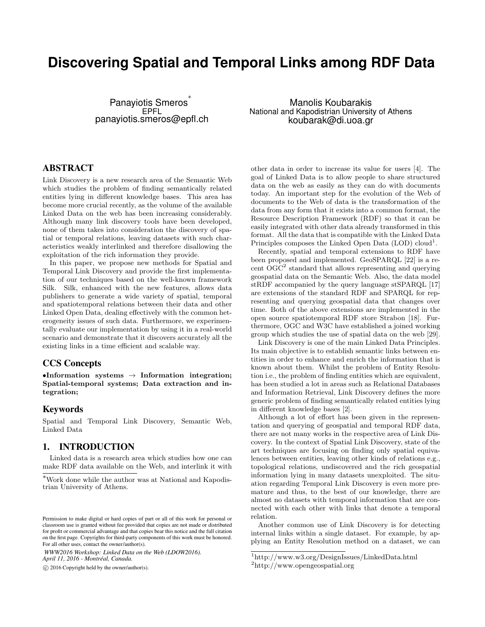# **Discovering Spatial and Temporal Links among RDF Data**

Panayiotis Smeros<sup>\*</sup> EPFL panayiotis.smeros@epfl.ch

Manolis Koubarakis National and Kapodistrian University of Athens koubarak@di.uoa.gr

## ABSTRACT

Link Discovery is a new research area of the Semantic Web which studies the problem of finding semantically related entities lying in different knowledge bases. This area has become more crucial recently, as the volume of the available Linked Data on the web has been increasing considerably. Although many link discovery tools have been developed, none of them takes into consideration the discovery of spatial or temporal relations, leaving datasets with such characteristics weakly interlinked and therefore disallowing the exploitation of the rich information they provide.

In this paper, we propose new methods for Spatial and Temporal Link Discovery and provide the first implementation of our techniques based on the well-known framework Silk. Silk, enhanced with the new features, allows data publishers to generate a wide variety of spatial, temporal and spatiotemporal relations between their data and other Linked Open Data, dealing effectively with the common heterogeneity issues of such data. Furthermore, we experimentally evaluate our implementation by using it in a real-world scenario and demonstrate that it discovers accurately all the existing links in a time efficient and scalable way.

#### CCS Concepts

•Information systems  $\rightarrow$  Information integration; Spatial-temporal systems; Data extraction and integration;

#### Keywords

Spatial and Temporal Link Discovery, Semantic Web, Linked Data

#### 1. INTRODUCTION

Linked data is a research area which studies how one can make RDF data available on the Web, and interlink it with

*WWW2016 Workshop: Linked Data on the Web (LDOW2016). April 11, 2016 - Montréal, Canada.*

c 2016 Copyright held by the owner/author(s).

other data in order to increase its value for users [\[4\]](#page-9-0). The goal of Linked Data is to allow people to share structured data on the web as easily as they can do with documents today. An important step for the evolution of the Web of documents to the Web of data is the transformation of the data from any form that it exists into a common format, the Resource Description Framework (RDF) so that it can be easily integrated with other data already transformed in this format. All the data that is compatible with the Linked Data Principles composes the Linked Open Data  $(LOD)$  cloud<sup>[1](#page-0-0)</sup>.

Recently, spatial and temporal extensions to RDF have been proposed and implemented. GeoSPARQL [\[22\]](#page-9-1) is a re-cent OGC<sup>[2](#page-0-1)</sup> standard that allows representing and querying geospatial data on the Semantic Web. Also, the data model stRDF accompanied by the query language stSPARQL [\[17\]](#page-9-2) are extensions of the standard RDF and SPARQL for representing and querying geospatial data that changes over time. Both of the above extensions are implemented in the open source spatiotemporal RDF store Strabon [\[18\]](#page-9-3). Furthermore, OGC and W3C have established a joined working group which studies the use of spatial data on the web [\[29\]](#page-9-4).

Link Discovery is one of the main Linked Data Principles. Its main objective is to establish semantic links between entities in order to enhance and enrich the information that is known about them. Whilst the problem of Entity Resolution i.e., the problem of finding entities which are equivalent, has been studied a lot in areas such as Relational Databases and Information Retrieval, Link Discovery defines the more generic problem of finding semantically related entities lying in different knowledge bases [\[2\]](#page-9-5).

Although a lot of effort has been given in the representation and querying of geospatial and temporal RDF data, there are not many works in the respective area of Link Discovery. In the context of Spatial Link Discovery, state of the art techniques are focusing on finding only spatial equivalences between entities, leaving other kinds of relations e.g., topological relations, undiscovered and the rich geospatial information lying in many datasets unexploited. The situation regarding Temporal Link Discovery is even more premature and thus, to the best of our knowledge, there are almost no datasets with temporal information that are connected with each other with links that denote a temporal relation.

Another common use of Link Discovery is for detecting internal links within a single dataset. For example, by applying an Entity Resolution method on a dataset, we can

<sup>∗</sup>Work done while the author was at National and Kapodistrian University of Athens.

Permission to make digital or hard copies of part or all of this work for personal or classroom use is granted without fee provided that copies are not made or distributed for profit or commercial advantage and that copies bear this notice and the full citation on the first page. Copyrights for third-party components of this work must be honored. For all other uses, contact the owner/author(s).

<span id="page-0-0"></span><sup>1</sup><http://www.w3.org/DesignIssues/LinkedData.html>

<span id="page-0-1"></span><sup>2</sup><http://www.opengeospatial.org>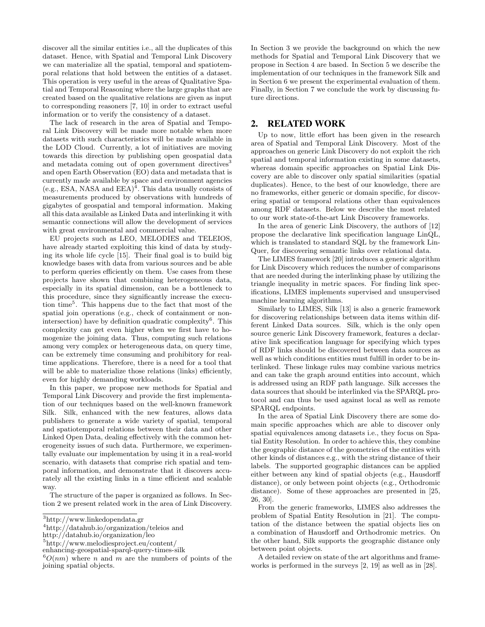discover all the similar entities i.e., all the duplicates of this dataset. Hence, with Spatial and Temporal Link Discovery we can materialize all the spatial, temporal and spatiotemporal relations that hold between the entities of a dataset. This operation is very useful in the areas of Qualitative Spatial and Temporal Reasoning where the large graphs that are created based on the qualitative relations are given as input to corresponding reasoners [\[7,](#page-9-6) [10\]](#page-9-7) in order to extract useful information or to verify the consistency of a dataset.

The lack of research in the area of Spatial and Temporal Link Discovery will be made more notable when more datasets with such characteristics will be made available in the LOD Cloud. Currently, a lot of initiatives are moving towards this direction by publishing open geospatial data and metadata coming out of open government directives<sup>[3](#page-1-0)</sup> and open Earth Observation (EO) data and metadata that is currently made available by space and environment agencies (e.g., ESA, NASA and  $EEA$ <sup>[4](#page-1-1)</sup>. This data usually consists of measurements produced by observations with hundreds of gigabytes of geospatial and temporal information. Making all this data available as Linked Data and interlinking it with semantic connections will allow the development of services with great environmental and commercial value.

EU projects such as LEO, MELODIES and TELEIOS, have already started exploiting this kind of data by studying its whole life cycle [\[15\]](#page-9-8). Their final goal is to build big knowledge bases with data from various sources and be able to perform queries efficiently on them. Use cases from these projects have shown that combining heterogeneous data, especially in its spatial dimension, can be a bottleneck to this procedure, since they significantly increase the execution time[5](#page-1-2) . This happens due to the fact that most of the spatial join operations (e.g., check of containment or non-intersection) have by definition quadratic complexity<sup>[6](#page-1-3)</sup>. This complexity can get even higher when we first have to homogenize the joining data. Thus, computing such relations among very complex or heterogeneous data, on query time, can be extremely time consuming and prohibitory for realtime applications. Therefore, there is a need for a tool that will be able to materialize those relations (links) efficiently, even for highly demanding workloads.

In this paper, we propose new methods for Spatial and Temporal Link Discovery and provide the first implementation of our techniques based on the well-known framework Silk. Silk, enhanced with the new features, allows data publishers to generate a wide variety of spatial, temporal and spatiotemporal relations between their data and other Linked Open Data, dealing effectively with the common heterogeneity issues of such data. Furthermore, we experimentally evaluate our implementation by using it in a real-world scenario, with datasets that comprise rich spatial and temporal information, and demonstrate that it discovers accurately all the existing links in a time efficient and scalable way.

The structure of the paper is organized as follows. In Section [2](#page-1-4) we present related work in the area of Link Discovery. In Section [3](#page-2-0) we provide the background on which the new methods for Spatial and Temporal Link Discovery that we propose in Section [4](#page-3-0) are based. In Section [5](#page-6-0) we describe the implementation of our techniques in the framework Silk and in Section [6](#page-6-1) we present the experimental evaluation of them. Finally, in Section [7](#page-8-0) we conclude the work by discussing future directions.

#### <span id="page-1-4"></span>2. RELATED WORK

Up to now, little effort has been given in the research area of Spatial and Temporal Link Discovery. Most of the approaches on generic Link Discovery do not exploit the rich spatial and temporal information existing in some datasets, whereas domain specific approaches on Spatial Link Discovery are able to discover only spatial similarities (spatial duplicates). Hence, to the best of our knowledge, there are no frameworks, either generic or domain specific, for discovering spatial or temporal relations other than equivalences among RDF datasets. Below we describe the most related to our work state-of-the-art Link Discovery frameworks.

In the area of generic Link Discovery, the authors of [\[12\]](#page-9-9) propose the declarative link specification language LinQL, which is translated to standard SQL by the framework Lin-Quer, for discovering semantic links over relational data.

The LIMES framework [\[20\]](#page-9-10) introduces a generic algorithm for Link Discovery which reduces the number of comparisons that are needed during the interlinking phase by utilizing the triangle inequality in metric spaces. For finding link specifications, LIMES implements supervised and unsupervised machine learning algorithms.

Similarly to LIMES, Silk [\[13\]](#page-9-11) is also a generic framework for discovering relationships between data items within different Linked Data sources. Silk, which is the only open source generic Link Discovery framework, features a declarative link specification language for specifying which types of RDF links should be discovered between data sources as well as which conditions entities must fulfill in order to be interlinked. These linkage rules may combine various metrics and can take the graph around entities into account, which is addressed using an RDF path language. Silk accesses the data sources that should be interlinked via the SPARQL protocol and can thus be used against local as well as remote SPARQL endpoints.

In the area of Spatial Link Discovery there are some domain specific approaches which are able to discover only spatial equivalences among datasets i.e., they focus on Spatial Entity Resolution. In order to achieve this, they combine the geographic distance of the geometries of the entities with other kinds of distances e.g., with the string distance of their labels. The supported geographic distances can be applied either between any kind of spatial objects (e.g., Hausdorff distance), or only between point objects (e.g., Orthodromic distance). Some of these approaches are presented in [\[25,](#page-9-12) [26,](#page-9-13) [30\]](#page-9-14).

From the generic frameworks, LIMES also addresses the problem of Spatial Entity Resolution in [\[21\]](#page-9-15). The computation of the distance between the spatial objects lies on a combination of Hausdorff and Orthodromic metrics. On the other hand, Silk supports the geographic distance only between point objects.

A detailed review on state of the art algorithms and frameworks is performed in the surveys [\[2,](#page-9-5) [19\]](#page-9-16) as well as in [\[28\]](#page-9-17).

<span id="page-1-0"></span><sup>3</sup><http://www.linkedopendata.gr>

<span id="page-1-1"></span><sup>4</sup><http://datahub.io/organization/teleios> and

<http://datahub.io/organization/leo>

<span id="page-1-2"></span><sup>5</sup>[http://www.melodiesproject.eu/content/](http://www.melodiesproject.eu/content/enhancing-geospatial-sparql-query-times-silk)

[enhancing-geospatial-sparql-query-times-silk](http://www.melodiesproject.eu/content/enhancing-geospatial-sparql-query-times-silk)

<span id="page-1-3"></span> ${}^6O(nm)$  where n and m are the numbers of points of the joining spatial objects.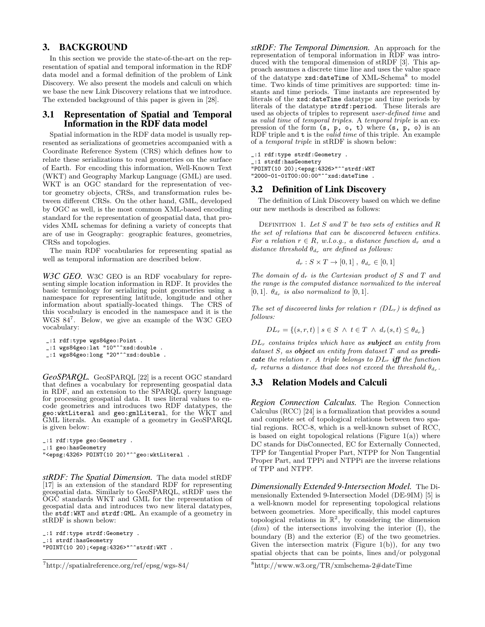#### <span id="page-2-0"></span>3. BACKGROUND

In this section we provide the state-of-the-art on the representation of spatial and temporal information in the RDF data model and a formal definition of the problem of Link Discovery. We also present the models and calculi on which we base the new Link Discovery relations that we introduce. The extended background of this paper is given in [\[28\]](#page-9-17).

#### 3.1 Representation of Spatial and Temporal Information in the RDF data model

Spatial information in the RDF data model is usually represented as serializations of geometries accompanied with a Coordinate Reference System (CRS) which defines how to relate these serializations to real geometries on the surface of Earth. For encoding this information, Well-Known Text (WKT) and Geography Markup Language (GML) are used. WKT is an OGC standard for the representation of vector geometry objects, CRSs, and transformation rules between different CRSs. On the other hand, GML, developed by OGC as well, is the most common XML-based encoding standard for the representation of geospatial data, that provides XML schemas for defining a variety of concepts that are of use in Geography: geographic features, geometries, CRSs and topologies.

The main RDF vocabularies for representing spatial as well as temporal information are described below.

*W3C GEO.* W3C GEO is an RDF vocabulary for representing simple location information in RDF. It provides the basic terminology for serializing point geometries using a namespace for representing latitude, longitude and other information about spatially-located things. The CRS of this vocabulary is encoded in the namespace and it is the WGS 84[7](#page-2-1) . Below, we give an example of the W3C GEO vocabulary:

\_:1 rdf:type wgs84geo:Point .

\_:1 wgs84geo:lat "10"^^xsd:double .

 $\frac{1}{2}$ :1 wgs84geo:long "20"^^xsd:double .

*GeoSPARQL.* GeoSPARQL [\[22\]](#page-9-1) is a recent OGC standard that defines a vocabulary for representing geospatial data in RDF, and an extension to the SPARQL query language for processing geospatial data. It uses literal values to encode geometries and introduces two RDF datatypes, the geo:wktLiteral and geo:gmlLiteral, for the WKT and GML literals. An example of a geometry in GeoSPARQL is given below:

```
_:1 rdf:type geo:Geometry .
_:1 geo:hasGeometry
"<epsg:4326> POINT(10 20)"^^geo:wktLiteral .
```
*stRDF: The Spatial Dimension.* The data model stRDF [\[17\]](#page-9-2) is an extension of the standard RDF for representing geospatial data. Similarly to GeoSPARQL, stRDF uses the OGC standards WKT and GML for the representation of geospatial data and introduces two new literal datatypes, the stdf:WKT and strdf:GML. An example of a geometry in stRDF is shown below:

\_:1 rdf:type strdf:Geometry . \_:1 strdf:hasGeometry "POINT(10 20);<epsg:4326>"^^strdf:WKT . *stRDF: The Temporal Dimension.* An approach for the representation of temporal information in RDF was introduced with the temporal dimension of stRDF [\[3\]](#page-9-18). This approach assumes a discrete time line and uses the value space of the datatype xsd:dateTime of XML-Schema<sup>[8](#page-2-2)</sup> to model time. Two kinds of time primitives are supported: time instants and time periods. Time instants are represented by literals of the xsd:dateTime datatype and time periods by literals of the datatype strdf:period. These literals are used as objects of triples to represent user-defined time and as valid time of temporal triples. A temporal triple is an expression of the form (s, p, o, t) where (s, p, o) is an RDF triple and  $t$  is the *valid time* of this triple. An example of a temporal triple in stRDF is shown below:

\_:1 rdf:type strdf:Geometry . \_:1 strdf:hasGeometry "POINT(10 20);<epsg:4326>"^^strdf:WKT

# "2000-01-01T00:00:00"^^xsd:dateTime .

#### 3.2 Definition of Link Discovery

The definition of Link Discovery based on which we define our new methods is described as follows:

DEFINITION 1. Let  $S$  and  $T$  be two sets of entities and  $R$ the set of relations that can be discovered between entities. For a relation  $r \in R$ , w.l.o.g., a distance function  $d_r$  and a distance threshold  $\theta_{d_r}$  are defined as follows:

$$
d_r: S \times T \to [0,1], \ \theta_{d_r} \in [0,1]
$$

The domain of  $d_r$  is the Cartesian product of S and T and the range is the computed distance normalized to the interval [0, 1].  $\theta_{d_r}$  is also normalized to [0, 1].

The set of discovered links for relation  $r(DL_r)$  is defined as follows:

$$
DL_r = \{(s, r, t) \mid s \in S \land t \in T \land d_r(s, t) \leq \theta_{d_r}\}\
$$

 $DL<sub>r</sub>$  contains triples which have as **subject** an entity from dataset  $S$ , as object an entity from dataset  $T$  and as predicate the relation r. A triple belongs to  $DL_r$  iff the function  $d_r$  returns a distance that does not exceed the threshold  $\theta_{d_r}$ .

#### 3.3 Relation Models and Calculi

*Region Connection Calculus.* The Region Connection Calculus (RCC) [\[24\]](#page-9-19) is a formalization that provides a sound and complete set of topological relations between two spatial regions. RCC-8, which is a well-known subset of RCC, is based on eight topological relations (Figure  $1(a)$ ) where DC stands for DisConnected, EC for Externally Connected, TPP for Tangential Proper Part, NTPP for Non Tangential Proper Part, and TPPi and NTPPi are the inverse relations of TPP and NTPP.

*Dimensionally Extended 9-Intersection Model.* The Dimensionally Extended 9-Intersection Model (DE-9IM) [\[5\]](#page-9-20) is a well-known model for representing topological relations between geometries. More specifically, this model captures topological relations in  $\mathbb{R}^2$ , by considering the dimension  $(dim)$  of the intersections involving the interior  $(I)$ , the boundary (B) and the exterior (E) of the two geometries. Given the intersection matrix (Figure [1\(b\)\)](#page-3-2), for any two spatial objects that can be points, lines and/or polygonal

<span id="page-2-1"></span><sup>7</sup><http://spatialreference.org/ref/epsg/wgs-84/>

<span id="page-2-2"></span><sup>8</sup><http://www.w3.org/TR/xmlschema-2#dateTime>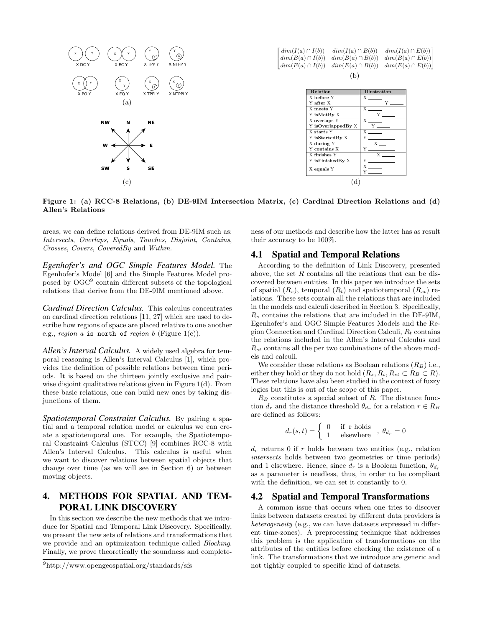<span id="page-3-1"></span>

<span id="page-3-2"></span> $dim(I(a) \cap I(b))$  $dim(B(a) \cap I(b))$  $dim(I(a) \cap B(b)) \quad dim(I(a) \cap E(b))$ <br>  $dim(B(a) \cap B(b)) \quad dim(B(a) \cap E(b))$  $dim(B(a) \cap B(b))$  $\left\lfloor \dim(E(a) \cap I(b)) \quad \dim(E(a) \cap B(b)) \quad \dim(E(a) \cap E(b)) \right\rfloor$  $dim(I(a) \cap E(b))$  $\mathbf{L}$ (b)

<span id="page-3-5"></span>

| <b>Relation</b>    | <b>Illustration</b> |  |  |  |  |
|--------------------|---------------------|--|--|--|--|
| X before Y         | X                   |  |  |  |  |
| Y after X          | Y                   |  |  |  |  |
| X meets Y          | X                   |  |  |  |  |
| Y isMetBy X        |                     |  |  |  |  |
| X overlaps Y       |                     |  |  |  |  |
| Y isOverlappedBy X | Y                   |  |  |  |  |
| X starts Y         |                     |  |  |  |  |
| Y isStartedBy X    | Y                   |  |  |  |  |
| X during Y         | <b>Y</b>            |  |  |  |  |
| Y contains X       |                     |  |  |  |  |
| X finishes Y       | X                   |  |  |  |  |
| Y isFinishedBy X   |                     |  |  |  |  |
| X equals Y         | X                   |  |  |  |  |
|                    |                     |  |  |  |  |

<span id="page-3-4"></span>Figure 1: (a) RCC-8 Relations, (b) DE-9IM Intersection Matrix, (c) Cardinal Direction Relations and (d) Allen's Relations

areas, we can define relations derived from DE-9IM such as: Intersects, Overlaps, Equals, Touches, Disjoint, Contains, Crosses, Covers, CoveredBy and Within.

*Egenhofer's and OGC Simple Features Model.* The Egenhofer's Model [\[6\]](#page-9-21) and the Simple Features Model proposed by OGC[9](#page-3-3) contain different subsets of the topological relations that derive from the DE-9IM mentioned above.

*Cardinal Direction Calculus.* This calculus concentrates on cardinal direction relations [\[11,](#page-9-22) [27\]](#page-9-23) which are used to describe how regions of space are placed relative to one another e.g., region a is north of region b (Figure [1\(c\)\)](#page-3-4).

*Allen's Interval Calculus.* A widely used algebra for temporal reasoning is Allen's Interval Calculus [\[1\]](#page-9-24), which provides the definition of possible relations between time periods. It is based on the thirteen jointly exclusive and pairwise disjoint qualitative relations given in Figure [1\(d\).](#page-3-5) From these basic relations, one can build new ones by taking disjunctions of them.

*Spatiotemporal Constraint Calculus.* By pairing a spatial and a temporal relation model or calculus we can create a spatiotemporal one. For example, the Spatiotemporal Constraint Calculus (STCC) [\[9\]](#page-9-25) combines RCC-8 with Allen's Interval Calculus. This calculus is useful when we want to discover relations between spatial objects that change over time (as we will see in Section [6\)](#page-6-1) or between moving objects.

### <span id="page-3-0"></span>4. METHODS FOR SPATIAL AND TEM-PORAL LINK DISCOVERY

In this section we describe the new methods that we introduce for Spatial and Temporal Link Discovery. Specifically, we present the new sets of relations and transformations that we provide and an optimization technique called Blocking. Finally, we prove theoretically the soundness and completeness of our methods and describe how the latter has as result their accuracy to be 100%.

#### 4.1 Spatial and Temporal Relations

According to the definition of Link Discovery, presented above, the set  $R$  contains all the relations that can be discovered between entities. In this paper we introduce the sets of spatial  $(R_s)$ , temporal  $(R_t)$  and spatiotemporal  $(R_{st})$  relations. These sets contain all the relations that are included in the models and calculi described in Section [3.](#page-2-0) Specifically,  $R<sub>s</sub>$  contains the relations that are included in the DE-9IM, Egenhofer's and OGC Simple Features Models and the Region Connection and Cardinal Direction Calculi,  $R_t$  contains the relations included in the Allen's Interval Calculus and  $R_{st}$  contains all the per two combinations of the above models and calculi.

We consider these relations as Boolean relations  $(R_B)$  i.e., either they hold or they do not hold  $(R_s, R_t, R_{st} \subset R_B \subset R)$ . These relations have also been studied in the context of fuzzy logics but this is out of the scope of this paper.

 $R_B$  constitutes a special subset of R. The distance function  $d_r$  and the distance threshold  $\theta_{d_r}$  for a relation  $r \in R_B$ are defined as follows:

$$
d_r(s,t) = \begin{cases} 0 & \text{if r holds} \\ 1 & \text{elsewhere} \end{cases}, \theta_{d_r} = 0
$$

 $d_r$  returns 0 if r holds between two entities (e.g., relation intersects holds between two geometries or time periods) and 1 elsewhere. Hence, since  $d_r$  is a Boolean function,  $\theta_{d_r}$ as a parameter is needless, thus, in order to be compliant with the definition, we can set it constantly to 0.

#### 4.2 Spatial and Temporal Transformations

A common issue that occurs when one tries to discover links between datasets created by different data providers is heterogeneity (e.g., we can have datasets expressed in different time-zones). A preprocessing technique that addresses this problem is the application of transformations on the attributes of the entities before checking the existence of a link. The transformations that we introduce are generic and not tightly coupled to specific kind of datasets.

<span id="page-3-3"></span><sup>9</sup><http://www.opengeospatial.org/standards/sfs>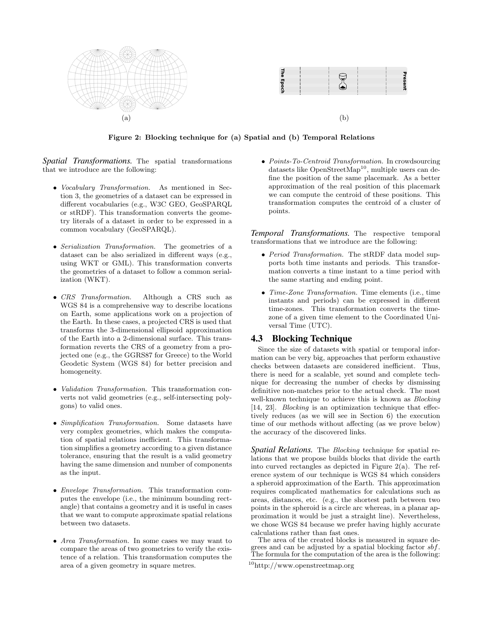

<span id="page-4-1"></span>Figure 2: Blocking technique for (a) Spatial and (b) Temporal Relations

*Spatial Transformations.* The spatial transformations that we introduce are the following:

- Vocabulary Transformation. As mentioned in Section [3,](#page-2-0) the geometries of a dataset can be expressed in different vocabularies (e.g., W3C GEO, GeoSPARQL or stRDF). This transformation converts the geometry literals of a dataset in order to be expressed in a common vocabulary (GeoSPARQL).
- Serialization Transformation. The geometries of a dataset can be also serialized in different ways (e.g., using WKT or GML). This transformation converts the geometries of a dataset to follow a common serialization (WKT).
- CRS Transformation. Although a CRS such as WGS 84 is a comprehensive way to describe locations on Earth, some applications work on a projection of the Earth. In these cases, a projected CRS is used that transforms the 3-dimensional ellipsoid approximation of the Earth into a 2-dimensional surface. This transformation reverts the CRS of a geometry from a projected one (e.g., the GGRS87 for Greece) to the World Geodetic System (WGS 84) for better precision and homogeneity.
- *Validation Transformation*. This transformation converts not valid geometries (e.g., self-intersecting polygons) to valid ones.
- Simplification Transformation. Some datasets have very complex geometries, which makes the computation of spatial relations inefficient. This transformation simplifies a geometry according to a given distance tolerance, ensuring that the result is a valid geometry having the same dimension and number of components as the input.
- Envelope Transformation. This transformation computes the envelope (i.e., the minimum bounding rectangle) that contains a geometry and it is useful in cases that we want to compute approximate spatial relations between two datasets.
- Area Transformation. In some cases we may want to compare the areas of two geometries to verify the existence of a relation. This transformation computes the area of a given geometry in square metres.

<span id="page-4-2"></span>• Points-To-Centroid Transformation. In crowdsourcing datasets like OpenStreetMap<sup>[10](#page-4-0)</sup>, multiple users can define the position of the same placemark. As a better approximation of the real position of this placemark we can compute the centroid of these positions. This transformation computes the centroid of a cluster of points.

*Temporal Transformations.* The respective temporal transformations that we introduce are the following:

- Period Transformation. The stRDF data model supports both time instants and periods. This transformation converts a time instant to a time period with the same starting and ending point.
- Time-Zone Transformation. Time elements (i.e., time instants and periods) can be expressed in different time-zones. This transformation converts the timezone of a given time element to the Coordinated Universal Time (UTC).

#### 4.3 Blocking Technique

Since the size of datasets with spatial or temporal information can be very big, approaches that perform exhaustive checks between datasets are considered inefficient. Thus, there is need for a scalable, yet sound and complete technique for decreasing the number of checks by dismissing definitive non-matches prior to the actual check. The most well-known technique to achieve this is known as *Blocking* [\[14,](#page-9-26) [23\]](#page-9-27). Blocking is an optimization technique that effectively reduces (as we will see in Section [6\)](#page-6-1) the execution time of our methods without affecting (as we prove below) the accuracy of the discovered links.

*Spatial Relations.* The Blocking technique for spatial relations that we propose builds blocks that divide the earth into curved rectangles as depicted in Figure [2\(a\).](#page-4-1) The reference system of our technique is WGS 84 which considers a spheroid approximation of the Earth. This approximation requires complicated mathematics for calculations such as areas, distances, etc. (e.g., the shortest path between two points in the spheroid is a circle arc whereas, in a planar approximation it would be just a straight line). Nevertheless, we chose WGS 84 because we prefer having highly accurate calculations rather than fast ones.

The area of the created blocks is measured in square degrees and can be adjusted by a spatial blocking factor  $sbf$ . The formula for the computation of the area is the following:

<span id="page-4-0"></span><sup>10</sup><http://www.openstreetmap.org>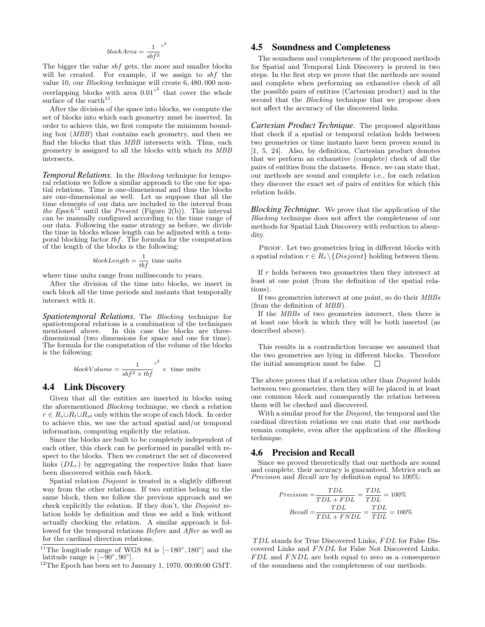$$
blockArea = \frac{1}{sbf^2}^{\circ^2}
$$

The bigger the value sbf gets, the more and smaller blocks will be created. For example, if we assign to sbf the value 10, our Blocking technique will create 6, 480, 000 nonoverlapping blocks with area  $0.01^{\circ^2}$  that cover the whole surface of the earth<sup>[11](#page-5-0)</sup>.

After the division of the space into blocks, we compute the set of blocks into which each geometry must be inserted. In order to achieve this, we first compute the minimum bounding box (MBB) that contains each geometry, and then we find the blocks that this MBB intersects with. Thus, each geometry is assigned to all the blocks with which its MBB intersects.

*Temporal Relations.* In the Blocking technique for temporal relations we follow a similar approach to the one for spatial relations. Time is one-dimensional and thus the blocks are one-dimensional as well. Let us suppose that all the time elements of our data are included in the interval from the Epoch<sup>[12](#page-5-1)</sup> until the Present (Figure [2\(b\)\)](#page-4-2). This interval can be manually configured according to the time range of our data. Following the same strategy as before, we divide the time in blocks whose length can be adjusted with a temporal blocking factor tbf. The formula for the computation of the length of the blocks is the following:

$$
blockLength = \frac{1}{tbf} \text{ time units}
$$

where time units range from milliseconds to years.

After the division of the time into blocks, we insert in each block all the time periods and instants that temporally intersect with it.

*Spatiotemporal Relations.* The Blocking technique for spatiotemporal relations is a combination of the techniques mentioned above. In this case the blocks are threedimensional (two dimensions for space and one for time). The formula for the computation of the volume of the blocks is the following:

$$
blockVolume = \frac{1}{sbf^2 \times tbf}^{\circ^2} \times \text{ time units}
$$

#### 4.4 Link Discovery

Given that all the entities are inserted in blocks using the aforementioned Blocking technique, we check a relation  $r \in R_s \cup R_t \cup R_{st}$  only within the scope of each block. In order to achieve this, we use the actual spatial and/or temporal information, computing explicitly the relation.

Since the blocks are built to be completely independent of each other, this check can be performed in parallel with respect to the blocks. Then we construct the set of discovered links  $(DL_r)$  by aggregating the respective links that have been discovered within each block.

Spatial relation *Disjoint* is treated in a slightly different way from the other relations. If two entities belong to the same block, then we follow the previous approach and we check explicitly the relation. If they don't, the Disjoint relation holds by definition and thus we add a link without actually checking the relation. A similar approach is followed for the temporal relations Before and After as well as for the cardinal direction relations.

#### 4.5 Soundness and Completeness

The soundness and completeness of the proposed methods for Spatial and Temporal Link Discovery is proved in two steps. In the first step we prove that the methods are sound and complete when performing an exhaustive check of all the possible pairs of entities (Cartesian product) and in the second that the Blocking technique that we propose does not affect the accuracy of the discovered links.

*Cartesian Product Technique.* The proposed algorithms that check if a spatial or temporal relation holds between two geometries or time instants have been proven sound in [\[1,](#page-9-24) [5,](#page-9-20) [24\]](#page-9-19). Also, by definition, Cartesian product denotes that we perform an exhaustive (complete) check of all the pairs of entities from the datasets. Hence, we can state that, our methods are sound and complete i.e., for each relation they discover the exact set of pairs of entities for which this relation holds.

*Blocking Technique.* We prove that the application of the Blocking technique does not affect the completeness of our methods for Spatial Link Discovery with reduction to absurdity.

PROOF. Let two geometries lying in different blocks with a spatial relation  $r \in R_s \setminus \{Disjoint\}$  holding between them.

If  $r$  holds between two geometries then they intersect at least at one point (from the definition of the spatial relations).

If two geometries intersect at one point, so do their MBBs (from the definition of MBB).

If the MBBs of two geometries intersect, then there is at least one block in which they will be both inserted (as described above).

This results in a contradiction because we assumed that the two geometries are lying in different blocks. Therefore the initial assumption must be false.  $\square$ 

The above proves that if a relation other than *Disjoint* holds between two geometries, then they will be placed in at least one common block and consequently the relation between them will be checked and discovered.

With a similar proof for the *Disjoint*, the temporal and the cardinal direction relations we can state that our methods remain complete, even after the application of the Blocking technique.

#### 4.6 Precision and Recall

Since we proved theoretically that our methods are sound and complete, their accuracy is guaranteed. Metrics such as Precision and Recall are by definition equal to 100%:

$$
Precision = \frac{TDL}{TDL + FDL} = \frac{TDL}{TDL} = 100\%
$$

$$
Recall = \frac{TDL}{TDL + FNDL} = \frac{TDL}{TDL} = 100\%
$$

TDL stands for True Discovered Links, FDL for False Discovered Links and FNDL for False Not Discovered Links.  $FDL$  and  $FNDL$  are both equal to zero as a consequence of the soundness and the completeness of our methods.

<span id="page-5-0"></span><sup>&</sup>lt;sup>11</sup>The longitude range of WGS 84 is  $[-180^{\circ}, 180^{\circ}]$  and the latitude range is  $[-\breve{9}0^{\circ}, 90^{\circ}].$ 

<span id="page-5-1"></span> $^{12}\mathrm{The}$  Epoch has been set to January 1, 1970, 00:00:00 GMT.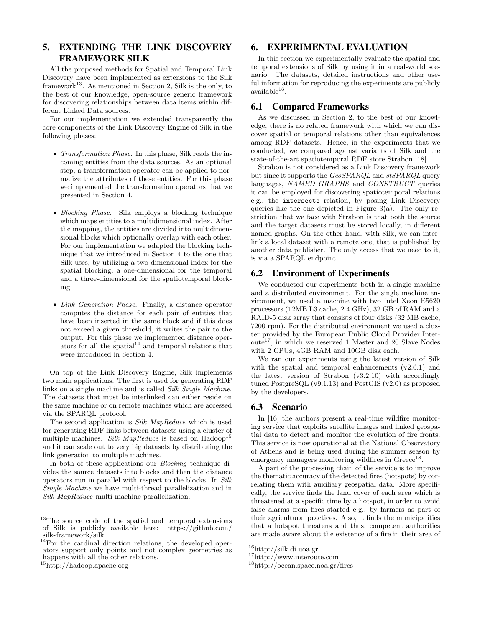# <span id="page-6-0"></span>5. EXTENDING THE LINK DISCOVERY FRAMEWORK SILK

All the proposed methods for Spatial and Temporal Link Discovery have been implemented as extensions to the Silk framework<sup>[13](#page-6-2)</sup>. As mentioned in Section [2,](#page-1-4) Silk is the only, to the best of our knowledge, open-source generic framework for discovering relationships between data items within different Linked Data sources.

For our implementation we extended transparently the core components of the Link Discovery Engine of Silk in the following phases:

- Transformation Phase. In this phase, Silk reads the incoming entities from the data sources. As an optional step, a transformation operator can be applied to normalize the attributes of these entities. For this phase we implemented the transformation operators that we presented in Section [4.](#page-3-0)
- Blocking Phase. Silk employs a blocking technique which maps entities to a multidimensional index. After the mapping, the entities are divided into multidimensional blocks which optionally overlap with each other. For our implementation we adapted the blocking technique that we introduced in Section [4](#page-3-0) to the one that Silk uses, by utilizing a two-dimensional index for the spatial blocking, a one-dimensional for the temporal and a three-dimensional for the spatiotemporal blocking.
- Link Generation Phase. Finally, a distance operator computes the distance for each pair of entities that have been inserted in the same block and if this does not exceed a given threshold, it writes the pair to the output. For this phase we implemented distance operators for all the spatial $14$  and temporal relations that were introduced in Section [4.](#page-3-0)

On top of the Link Discovery Engine, Silk implements two main applications. The first is used for generating RDF links on a single machine and is called Silk Single Machine. The datasets that must be interlinked can either reside on the same machine or on remote machines which are accessed via the SPARQL protocol.

The second application is Silk MapReduce which is used for generating RDF links between datasets using a cluster of multiple machines. Silk MapReduce is based on  $H$ adoop<sup>[15](#page-6-4)</sup> and it can scale out to very big datasets by distributing the link generation to multiple machines.

In both of these applications our Blocking technique divides the source datasets into blocks and then the distance operators run in parallel with respect to the blocks. In Silk Single Machine we have multi-thread parallelization and in Silk MapReduce multi-machine parallelization.

#### <span id="page-6-1"></span>6. EXPERIMENTAL EVALUATION

In this section we experimentally evaluate the spatial and temporal extensions of Silk by using it in a real-world scenario. The datasets, detailed instructions and other useful information for reproducing the experiments are publicly  $a$ vailable $^{16}$  $^{16}$  $^{16}$ .

#### 6.1 Compared Frameworks

As we discussed in Section [2,](#page-1-4) to the best of our knowledge, there is no related framework with which we can discover spatial or temporal relations other than equivalences among RDF datasets. Hence, in the experiments that we conducted, we compared against variants of Silk and the state-of-the-art spatiotemporal RDF store Strabon [\[18\]](#page-9-3).

Strabon is not considered as a Link Discovery framework but since it supports the GeoSPARQL and stSPARQL query languages, NAMED GRAPHS and CONSTRUCT queries it can be employed for discovering spatiotemporal relations e.g., the intersects relation, by posing Link Discovery queries like the one depicted in Figure  $3(a)$ . The only restriction that we face with Strabon is that both the source and the target datasets must be stored locally, in different named graphs. On the other hand, with Silk, we can interlink a local dataset with a remote one, that is published by another data publisher. The only access that we need to it, is via a SPARQL endpoint.

#### 6.2 Environment of Experiments

We conducted our experiments both in a single machine and a distributed environment. For the single machine environment, we used a machine with two Intel Xeon E5620 processors (12MB L3 cache, 2.4 GHz), 32 GB of RAM and a RAID-5 disk array that consists of four disks (32 MB cache, 7200 rpm). For the distributed environment we used a cluster provided by the European Public Cloud Provider Inter- $oute<sup>17</sup>$  $oute<sup>17</sup>$  $oute<sup>17</sup>$ , in which we reserved 1 Master and 20 Slave Nodes with 2 CPUs, 4GB RAM and 10GB disk each.

We ran our experiments using the latest version of Silk with the spatial and temporal enhancements  $(v2.6.1)$  and the latest version of Strabon (v3.2.10) with accordingly tuned PostgreSQL (v9.1.13) and PostGIS (v2.0) as proposed by the developers.

#### 6.3 Scenario

In [\[16\]](#page-9-28) the authors present a real-time wildfire monitoring service that exploits satellite images and linked geospatial data to detect and monitor the evolution of fire fronts. This service is now operational at the National Observatory of Athens and is being used during the summer season by emergency managers monitoring wildfires in  $G$ reece<sup>[18](#page-6-7)</sup>.

A part of the processing chain of the service is to improve the thematic accuracy of the detected fires (hotspots) by correlating them with auxiliary geospatial data. More specifically, the service finds the land cover of each area which is threatened at a specific time by a hotspot, in order to avoid false alarms from fires started e.g., by farmers as part of their agricultural practices. Also, it finds the municipalities that a hotspot threatens and thus, competent authorities are made aware about the existence of a fire in their area of

<span id="page-6-2"></span><sup>13</sup>The source code of the spatial and temporal extensions of Silk is publicly available here: [https://github.com/](https://github.com/silk-framework/silk) [silk-framework/silk.](https://github.com/silk-framework/silk)

<span id="page-6-3"></span><sup>14</sup>For the cardinal direction relations, the developed operators support only points and not complex geometries as happens with all the other relations.

<span id="page-6-4"></span><sup>15</sup><http://hadoop.apache.org>

<span id="page-6-5"></span><sup>16</sup><http://silk.di.uoa.gr>

<span id="page-6-6"></span><sup>17</sup><http://www.interoute.com>

<span id="page-6-7"></span><sup>18</sup><http://ocean.space.noa.gr/fires>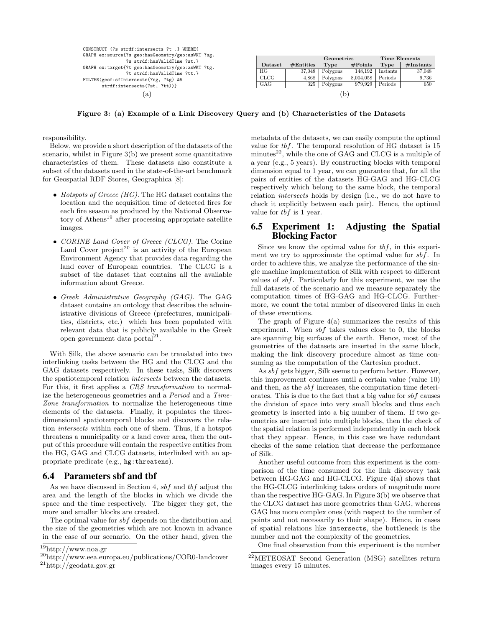CONSTRUCT {?s strdf:intersects ?t .} WHERE{ GRAPH ex:source{?s geo:hasGeometry/geo:asWKT ?sg. ?s strdf:hasValidTime ?st.} GRAPH ex:target{?t geo:hasGeometry/geo:asWKT ?tg. ?t strdf:hasValidTime ?tt.} FILTER(geof:sfIntersects(?sg, ?tg) && strdf:intersects(?st, ?tt))}  $(a)$ 

<span id="page-7-1"></span>

|         |           | Geometries |            | Time Elements |           |  |  |
|---------|-----------|------------|------------|---------------|-----------|--|--|
| Dataset | #Entities | Type       | $\#Points$ | Type          | #Instants |  |  |
| HG      | 37,048    | Polygons   | 148.192    | Instants      | 37,048    |  |  |
| CLCG    | 4.868     | Polygons   | 8,004,058  | Periods       | 9,736     |  |  |
| GAG     | 325       | Polygons   | 979.929    | Periods       | 650       |  |  |
| b       |           |            |            |               |           |  |  |

<span id="page-7-0"></span>Figure 3: (a) Example of a Link Discovery Query and (b) Characteristics of the Datasets

responsibility.

Below, we provide a short description of the datasets of the scenario, whilst in Figure [3\(b\)](#page-7-1) we present some quantitative characteristics of them. These datasets also constitute a subset of the datasets used in the state-of-the-art benchmark for Geospatial RDF Stores, Geographica [\[8\]](#page-9-29):

- Hotspots of Greece  $(HG)$ . The HG dataset contains the location and the acquisition time of detected fires for each fire season as produced by the National Observa-tory of Athens<sup>[19](#page-7-2)</sup> after processing appropriate satellite images.
- CORINE Land Cover of Greece (CLCG). The Corine Land Cover project<sup>[20](#page-7-3)</sup> is an activity of the European Environment Agency that provides data regarding the land cover of European countries. The CLCG is a subset of the dataset that contains all the available information about Greece.
- Greek Administrative Geography (GAG). The GAG dataset contains an ontology that describes the administrative divisions of Greece (prefectures, municipalities, districts, etc.) which has been populated with relevant data that is publicly available in the Greek open government data portal $^{21}$  $^{21}$  $^{21}$ .

With Silk, the above scenario can be translated into two interlinking tasks between the HG and the CLCG and the GAG datasets respectively. In these tasks, Silk discovers the spatiotemporal relation intersects between the datasets. For this, it first applies a CRS transformation to normalize the heterogeneous geometries and a Period and a Time-Zone transformation to normalize the heterogeneous time elements of the datasets. Finally, it populates the threedimensional spatiotemporal blocks and discovers the relation intersects within each one of them. Thus, if a hotspot threatens a municipality or a land cover area, then the output of this procedure will contain the respective entities from the HG, GAG and CLCG datasets, interlinked with an appropriate predicate (e.g., hg:threatens).

#### 6.4 Parameters sbf and tbf

As we have discussed in Section [4,](#page-3-0) sbf and tbf adjust the area and the length of the blocks in which we divide the space and the time respectively. The bigger they get, the more and smaller blocks are created.

The optimal value for sbf depends on the distribution and the size of the geometries which are not known in advance in the case of our scenario. On the other hand, given the metadata of the datasets, we can easily compute the optimal value for tbf. The temporal resolution of HG dataset is 15 minutes $^{22}$  $^{22}$  $^{22}$ , while the one of GAG and CLCG is a multiple of a year (e.g., 5 years). By constructing blocks with temporal dimension equal to 1 year, we can guarantee that, for all the pairs of entities of the datasets HG-GAG and HG-CLCG respectively which belong to the same block, the temporal relation intersects holds by design (i.e., we do not have to check it explicitly between each pair). Hence, the optimal value for tbf is 1 year.

#### 6.5 Experiment 1: Adjusting the Spatial Blocking Factor

Since we know the optimal value for  $tbf$ , in this experiment we try to approximate the optimal value for sbf. In order to achieve this, we analyze the performance of the single machine implementation of Silk with respect to different values of sbf. Particularly for this experiment, we use the full datasets of the scenario and we measure separately the computation times of HG-GAG and HG-CLCG. Furthermore, we count the total number of discovered links in each of these executions.

The graph of Figure  $4(a)$  summarizes the results of this experiment. When  $sbf$  takes values close to 0, the blocks are spanning big surfaces of the earth. Hence, most of the geometries of the datasets are inserted in the same block, making the link discovery procedure almost as time consuming as the computation of the Cartesian product.

As sbf gets bigger, Silk seems to perform better. However, this improvement continues until a certain value (value 10) and then, as the sbf increases, the computation time deteriorates. This is due to the fact that a big value for sbf causes the division of space into very small blocks and thus each geometry is inserted into a big number of them. If two geometries are inserted into multiple blocks, then the check of the spatial relation is performed independently in each block that they appear. Hence, in this case we have redundant checks of the same relation that decrease the performance of Silk.

Another useful outcome from this experiment is the comparison of the time consumed for the link discovery task between HG-GAG and HG-CLCG. Figure [4\(a\)](#page-8-1) shows that the HG-CLCG interlinking takes orders of magnitude more than the respective HG-GAG. In Figure [3\(b\)](#page-7-1) we observe that the CLCG dataset has more geometries than GAG, whereas GAG has more complex ones (with respect to the number of points and not necessarily to their shape). Hence, in cases of spatial relations like intersects, the bottleneck is the number and not the complexity of the geometries.

One final observation from this experiment is the number

<span id="page-7-2"></span><sup>19</sup><http://www.noa.gr>

<span id="page-7-3"></span><sup>20</sup><http://www.eea.europa.eu/publications/COR0-landcover>

<span id="page-7-4"></span><sup>21</sup><http://geodata.gov.gr>

<span id="page-7-5"></span><sup>22</sup>METEOSAT Second Generation (MSG) satellites return images every 15 minutes.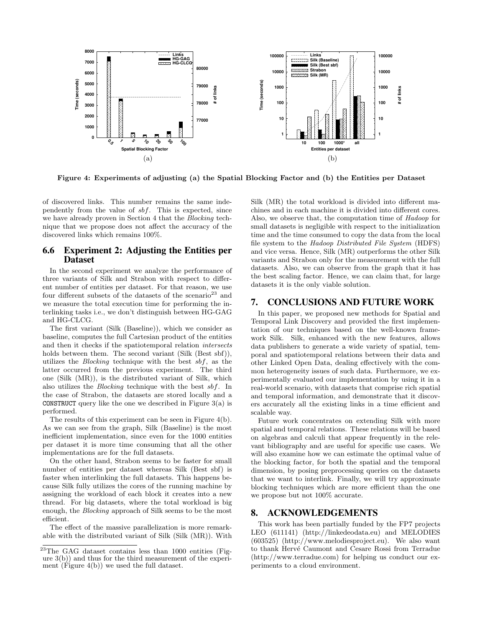

<span id="page-8-1"></span>Figure 4: Experiments of adjusting (a) the Spatial Blocking Factor and (b) the Entities per Dataset

of discovered links. This number remains the same independently from the value of sbf. This is expected, since we have already proven in Section [4](#page-3-0) that the Blocking technique that we propose does not affect the accuracy of the discovered links which remains 100%.

#### 6.6 Experiment 2: Adjusting the Entities per Dataset

In the second experiment we analyze the performance of three variants of Silk and Strabon with respect to different number of entities per dataset. For that reason, we use four different subsets of the datasets of the scenario<sup>[23](#page-8-2)</sup> and we measure the total execution time for performing the interlinking tasks i.e., we don't distinguish between HG-GAG and HG-CLCG.

The first variant (Silk (Baseline)), which we consider as baseline, computes the full Cartesian product of the entities and then it checks if the spatiotemporal relation intersects holds between them. The second variant (Silk (Best sbf)), utilizes the *Blocking* technique with the best  $sbf$ , as the latter occurred from the previous experiment. The third one (Silk (MR)), is the distributed variant of Silk, which also utilizes the Blocking technique with the best sbf. In the case of Strabon, the datasets are stored locally and a **CONSTRUCT** query like the one we described in Figure  $3(a)$  is performed.

The results of this experiment can be seen in Figure [4\(b\).](#page-8-3) As we can see from the graph, Silk (Baseline) is the most inefficient implementation, since even for the 1000 entities per dataset it is more time consuming that all the other implementations are for the full datasets.

On the other hand, Strabon seems to be faster for small number of entities per dataset whereas Silk (Best sbf) is faster when interlinking the full datasets. This happens because Silk fully utilizes the cores of the running machine by assigning the workload of each block it creates into a new thread. For big datasets, where the total workload is big enough, the Blocking approach of Silk seems to be the most efficient.

The effect of the massive parallelization is more remarkable with the distributed variant of Silk (Silk (MR)). With <span id="page-8-3"></span>Silk (MR) the total workload is divided into different machines and in each machine it is divided into different cores. Also, we observe that, the computation time of Hadoop for small datasets is negligible with respect to the initialization time and the time consumed to copy the data from the local file system to the Hadoop Distributed File System (HDFS) and vice versa. Hence, Silk (MR) outperforms the other Silk variants and Strabon only for the measurement with the full datasets. Also, we can observe from the graph that it has the best scaling factor. Hence, we can claim that, for large datasets it is the only viable solution.

#### <span id="page-8-0"></span>7. CONCLUSIONS AND FUTURE WORK

In this paper, we proposed new methods for Spatial and Temporal Link Discovery and provided the first implementation of our techniques based on the well-known framework Silk. Silk, enhanced with the new features, allows data publishers to generate a wide variety of spatial, temporal and spatiotemporal relations between their data and other Linked Open Data, dealing effectively with the common heterogeneity issues of such data. Furthermore, we experimentally evaluated our implementation by using it in a real-world scenario, with datasets that comprise rich spatial and temporal information, and demonstrate that it discovers accurately all the existing links in a time efficient and scalable way.

Future work concentrates on extending Silk with more spatial and temporal relations. These relations will be based on algebras and calculi that appear frequently in the relevant bibliography and are useful for specific use cases. We will also examine how we can estimate the optimal value of the blocking factor, for both the spatial and the temporal dimension, by posing preprocessing queries on the datasets that we want to interlink. Finally, we will try approximate blocking techniques which are more efficient than the one we propose but not 100% accurate.

#### 8. ACKNOWLEDGEMENTS

This work has been partially funded by the FP7 projects LEO (611141) [\(http://linkedeodata.eu\)](http://linkedeodata.eu) and MELODIES (603525) [\(http://www.melodiesproject.eu\)](http://www.melodiesproject.eu). We also want to thank Hervé Caumont and Cesare Rossi from Terradue [\(http://www.terradue.com\)](http://www.terradue.com) for helping us conduct our experiments to a cloud environment.

<span id="page-8-2"></span><sup>23</sup>The GAG dataset contains less than 1000 entities (Figure  $3(b)$  and thus for the third measurement of the experiment (Figure [4\(b\)\)](#page-8-3) we used the full dataset.